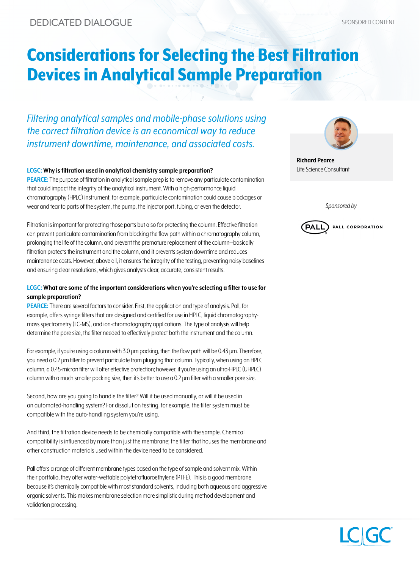# Considerations for Selecting the Best Filtration Devices in Analytical Sample Preparation

*Filtering analytical samples and mobile-phase solutions using the correct filtration device is an economical way to reduce instrument downtime, maintenance, and associated costs.* 

#### **LCGC: Why is filtration used in analytical chemistry sample preparation?**

**PEARCE:** The purpose of filtration in analytical sample prep is to remove any particulate contamination that could impact the integrity of the analytical instrument. With a high-performance liquid chromatography (HPLC) instrument, for example, particulate contamination could cause blockages or wear and tear to parts of the system, the pump, the injector port, tubing, or even the detector.

Filtration is important for protecting those parts but also for protecting the column. Effective filtration can prevent particulate contamination from blocking the flow path within a chromatography column, prolonging the life of the column, and prevent the premature replacement of the column—basically filtration protects the instrument and the column, and it prevents system downtime and reduces maintenance costs. However, above all, it ensures the integrity of the testing, preventing noisy baselines and ensuring clear resolutions, which gives analysts clear, accurate, consistent results.

### **LCGC: What are some of the important considerations when you're selecting a filter to use for sample preparation?**

**PEARCE:** There are several factors to consider. First, the application and type of analysis. Pall, for example, offers syringe filters that are designed and certified for use in HPLC, liquid chromatographymass spectrometry (LC-MS), and ion-chromatography applications. The type of analysis will help determine the pore size, the filter needed to effectively protect both the instrument and the column.

For example, if you're using a column with 3.0 μm packing, then the flow path will be 0.43 μm. Therefore, you need a 0.2 μm filter to prevent particulate from plugging that column. Typically, when using an HPLC column, a 0.45-micron filter will offer effective protection; however, if you're using an ultra-HPLC (UHPLC) column with a much smaller packing size, then it's better to use a 0.2 μm filter with a smaller pore size.

Second, how are you going to handle the filter? Will it be used manually, or will it be used in an automated-handling system? For dissolution testing, for example, the filter system must be compatible with the auto-handling system you're using.

And third, the filtration device needs to be chemically compatible with the sample. Chemical compatibility is influenced by more than just the membrane; the filter that houses the membrane and other construction materials used within the device need to be considered.

Pall offers a range of different membrane types based on the type of sample and solvent mix. Within their portfolio, they offer water-wettable polytetrafluoroethylene (PTFE). This is a good membrane because it's chemically compatible with most standard solvents, including both aqueous and aggressive organic solvents. This makes membrane selection more simplistic during method development and validation processing.



**Richard Pearce** Life Science Consultant

*Sponsored by*